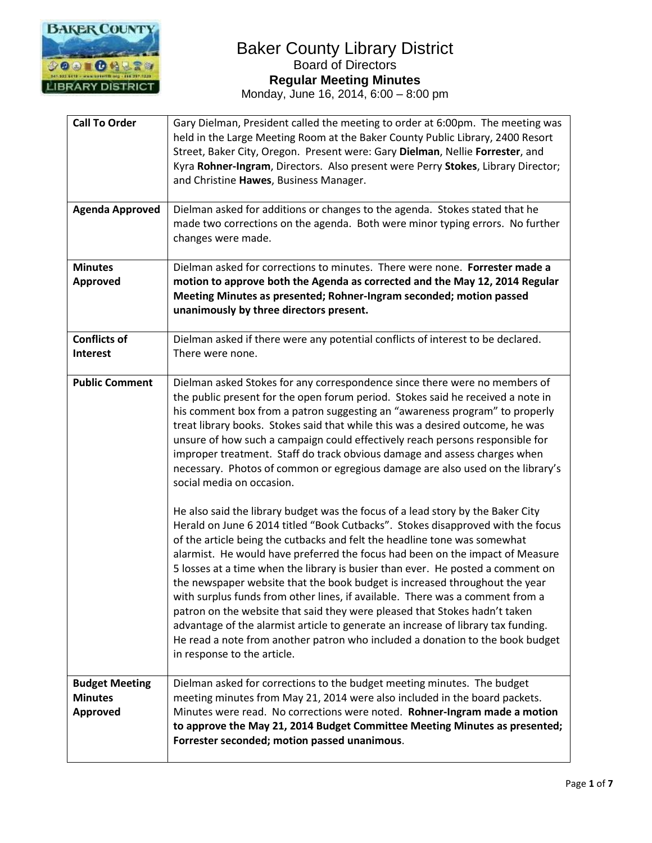

| <b>Call To Order</b><br><b>Agenda Approved</b>      | Gary Dielman, President called the meeting to order at 6:00pm. The meeting was<br>held in the Large Meeting Room at the Baker County Public Library, 2400 Resort<br>Street, Baker City, Oregon. Present were: Gary Dielman, Nellie Forrester, and<br>Kyra Rohner-Ingram, Directors. Also present were Perry Stokes, Library Director;<br>and Christine Hawes, Business Manager.<br>Dielman asked for additions or changes to the agenda. Stokes stated that he<br>made two corrections on the agenda. Both were minor typing errors. No further<br>changes were made.                                                                                                                                                                                                                                                                                                                                                                                                                                                                                                                                                                                                                                                                                                                                                                                                                                                                                                                 |
|-----------------------------------------------------|---------------------------------------------------------------------------------------------------------------------------------------------------------------------------------------------------------------------------------------------------------------------------------------------------------------------------------------------------------------------------------------------------------------------------------------------------------------------------------------------------------------------------------------------------------------------------------------------------------------------------------------------------------------------------------------------------------------------------------------------------------------------------------------------------------------------------------------------------------------------------------------------------------------------------------------------------------------------------------------------------------------------------------------------------------------------------------------------------------------------------------------------------------------------------------------------------------------------------------------------------------------------------------------------------------------------------------------------------------------------------------------------------------------------------------------------------------------------------------------|
| <b>Minutes</b><br>Approved                          | Dielman asked for corrections to minutes. There were none. Forrester made a<br>motion to approve both the Agenda as corrected and the May 12, 2014 Regular<br>Meeting Minutes as presented; Rohner-Ingram seconded; motion passed<br>unanimously by three directors present.                                                                                                                                                                                                                                                                                                                                                                                                                                                                                                                                                                                                                                                                                                                                                                                                                                                                                                                                                                                                                                                                                                                                                                                                          |
| <b>Conflicts of</b><br><b>Interest</b>              | Dielman asked if there were any potential conflicts of interest to be declared.<br>There were none.                                                                                                                                                                                                                                                                                                                                                                                                                                                                                                                                                                                                                                                                                                                                                                                                                                                                                                                                                                                                                                                                                                                                                                                                                                                                                                                                                                                   |
| <b>Public Comment</b>                               | Dielman asked Stokes for any correspondence since there were no members of<br>the public present for the open forum period. Stokes said he received a note in<br>his comment box from a patron suggesting an "awareness program" to properly<br>treat library books. Stokes said that while this was a desired outcome, he was<br>unsure of how such a campaign could effectively reach persons responsible for<br>improper treatment. Staff do track obvious damage and assess charges when<br>necessary. Photos of common or egregious damage are also used on the library's<br>social media on occasion.<br>He also said the library budget was the focus of a lead story by the Baker City<br>Herald on June 6 2014 titled "Book Cutbacks". Stokes disapproved with the focus<br>of the article being the cutbacks and felt the headline tone was somewhat<br>alarmist. He would have preferred the focus had been on the impact of Measure<br>5 losses at a time when the library is busier than ever. He posted a comment on<br>the newspaper website that the book budget is increased throughout the year<br>with surplus funds from other lines, if available. There was a comment from a<br>patron on the website that said they were pleased that Stokes hadn't taken<br>advantage of the alarmist article to generate an increase of library tax funding.<br>He read a note from another patron who included a donation to the book budget<br>in response to the article. |
| <b>Budget Meeting</b><br><b>Minutes</b><br>Approved | Dielman asked for corrections to the budget meeting minutes. The budget<br>meeting minutes from May 21, 2014 were also included in the board packets.<br>Minutes were read. No corrections were noted. Rohner-Ingram made a motion<br>to approve the May 21, 2014 Budget Committee Meeting Minutes as presented;<br>Forrester seconded; motion passed unanimous.                                                                                                                                                                                                                                                                                                                                                                                                                                                                                                                                                                                                                                                                                                                                                                                                                                                                                                                                                                                                                                                                                                                      |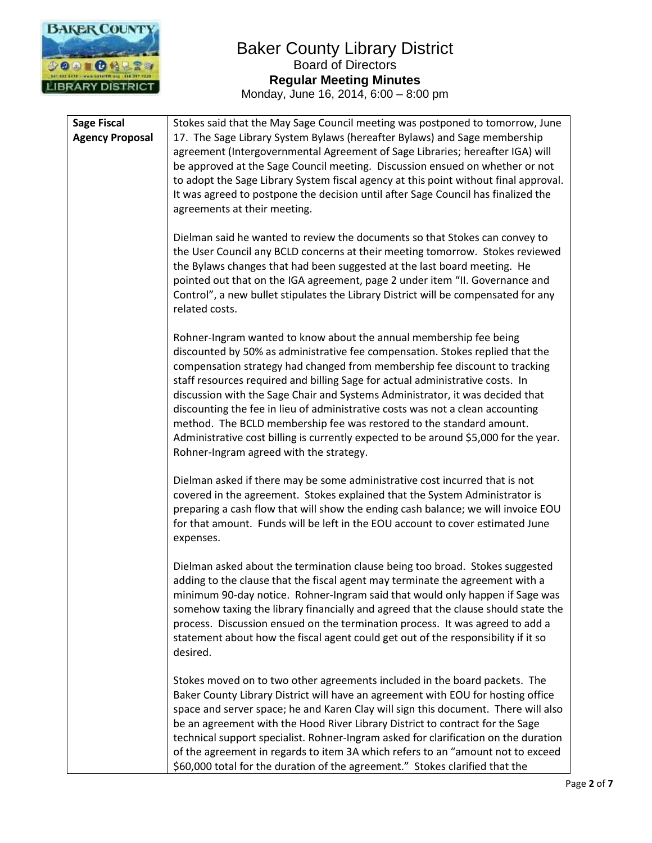

| <b>Sage Fiscal</b>     | Stokes said that the May Sage Council meeting was postponed to tomorrow, June                                                                                                                                                                                                                                                                                                                                                                                                                                                                                                                                                                                                                    |
|------------------------|--------------------------------------------------------------------------------------------------------------------------------------------------------------------------------------------------------------------------------------------------------------------------------------------------------------------------------------------------------------------------------------------------------------------------------------------------------------------------------------------------------------------------------------------------------------------------------------------------------------------------------------------------------------------------------------------------|
| <b>Agency Proposal</b> | 17. The Sage Library System Bylaws (hereafter Bylaws) and Sage membership<br>agreement (Intergovernmental Agreement of Sage Libraries; hereafter IGA) will<br>be approved at the Sage Council meeting. Discussion ensued on whether or not<br>to adopt the Sage Library System fiscal agency at this point without final approval.<br>It was agreed to postpone the decision until after Sage Council has finalized the<br>agreements at their meeting.                                                                                                                                                                                                                                          |
|                        | Dielman said he wanted to review the documents so that Stokes can convey to<br>the User Council any BCLD concerns at their meeting tomorrow. Stokes reviewed<br>the Bylaws changes that had been suggested at the last board meeting. He<br>pointed out that on the IGA agreement, page 2 under item "II. Governance and<br>Control", a new bullet stipulates the Library District will be compensated for any<br>related costs.                                                                                                                                                                                                                                                                 |
|                        | Rohner-Ingram wanted to know about the annual membership fee being<br>discounted by 50% as administrative fee compensation. Stokes replied that the<br>compensation strategy had changed from membership fee discount to tracking<br>staff resources required and billing Sage for actual administrative costs. In<br>discussion with the Sage Chair and Systems Administrator, it was decided that<br>discounting the fee in lieu of administrative costs was not a clean accounting<br>method. The BCLD membership fee was restored to the standard amount.<br>Administrative cost billing is currently expected to be around \$5,000 for the year.<br>Rohner-Ingram agreed with the strategy. |
|                        | Dielman asked if there may be some administrative cost incurred that is not<br>covered in the agreement. Stokes explained that the System Administrator is<br>preparing a cash flow that will show the ending cash balance; we will invoice EOU<br>for that amount. Funds will be left in the EOU account to cover estimated June<br>expenses.                                                                                                                                                                                                                                                                                                                                                   |
|                        | Dielman asked about the termination clause being too broad. Stokes suggested<br>adding to the clause that the fiscal agent may terminate the agreement with a<br>minimum 90-day notice. Rohner-Ingram said that would only happen if Sage was<br>somehow taxing the library financially and agreed that the clause should state the<br>process. Discussion ensued on the termination process. It was agreed to add a<br>statement about how the fiscal agent could get out of the responsibility if it so<br>desired.                                                                                                                                                                            |
|                        | Stokes moved on to two other agreements included in the board packets. The<br>Baker County Library District will have an agreement with EOU for hosting office<br>space and server space; he and Karen Clay will sign this document. There will also<br>be an agreement with the Hood River Library District to contract for the Sage<br>technical support specialist. Rohner-Ingram asked for clarification on the duration<br>of the agreement in regards to item 3A which refers to an "amount not to exceed<br>\$60,000 total for the duration of the agreement." Stokes clarified that the                                                                                                  |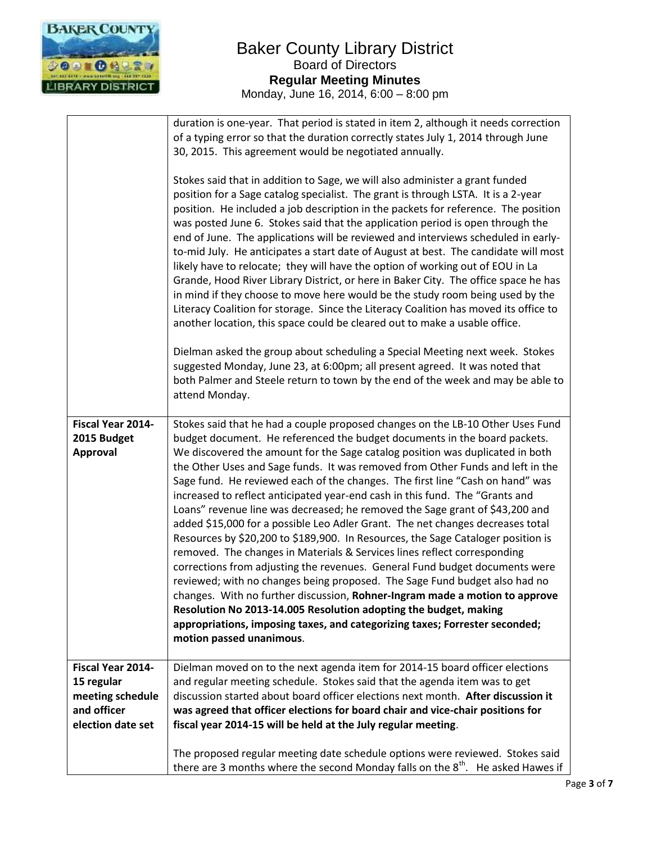

|                                                                                         | duration is one-year. That period is stated in item 2, although it needs correction<br>of a typing error so that the duration correctly states July 1, 2014 through June<br>30, 2015. This agreement would be negotiated annually.<br>Stokes said that in addition to Sage, we will also administer a grant funded<br>position for a Sage catalog specialist. The grant is through LSTA. It is a 2-year<br>position. He included a job description in the packets for reference. The position<br>was posted June 6. Stokes said that the application period is open through the<br>end of June. The applications will be reviewed and interviews scheduled in early-<br>to-mid July. He anticipates a start date of August at best. The candidate will most<br>likely have to relocate; they will have the option of working out of EOU in La<br>Grande, Hood River Library District, or here in Baker City. The office space he has<br>in mind if they choose to move here would be the study room being used by the<br>Literacy Coalition for storage. Since the Literacy Coalition has moved its office to<br>another location, this space could be cleared out to make a usable office.<br>Dielman asked the group about scheduling a Special Meeting next week. Stokes<br>suggested Monday, June 23, at 6:00pm; all present agreed. It was noted that<br>both Palmer and Steele return to town by the end of the week and may be able to<br>attend Monday. |
|-----------------------------------------------------------------------------------------|-----------------------------------------------------------------------------------------------------------------------------------------------------------------------------------------------------------------------------------------------------------------------------------------------------------------------------------------------------------------------------------------------------------------------------------------------------------------------------------------------------------------------------------------------------------------------------------------------------------------------------------------------------------------------------------------------------------------------------------------------------------------------------------------------------------------------------------------------------------------------------------------------------------------------------------------------------------------------------------------------------------------------------------------------------------------------------------------------------------------------------------------------------------------------------------------------------------------------------------------------------------------------------------------------------------------------------------------------------------------------------------------------------------------------------------------------------------------|
| Fiscal Year 2014-<br>2015 Budget<br>Approval                                            | Stokes said that he had a couple proposed changes on the LB-10 Other Uses Fund<br>budget document. He referenced the budget documents in the board packets.<br>We discovered the amount for the Sage catalog position was duplicated in both<br>the Other Uses and Sage funds. It was removed from Other Funds and left in the<br>Sage fund. He reviewed each of the changes. The first line "Cash on hand" was<br>increased to reflect anticipated year-end cash in this fund. The "Grants and<br>Loans" revenue line was decreased; he removed the Sage grant of \$43,200 and<br>added \$15,000 for a possible Leo Adler Grant. The net changes decreases total<br>Resources by \$20,200 to \$189,900. In Resources, the Sage Cataloger position is<br>removed. The changes in Materials & Services lines reflect corresponding<br>corrections from adjusting the revenues. General Fund budget documents were<br>reviewed; with no changes being proposed. The Sage Fund budget also had no<br>changes. With no further discussion, Rohner-Ingram made a motion to approve<br>Resolution No 2013-14.005 Resolution adopting the budget, making<br>appropriations, imposing taxes, and categorizing taxes; Forrester seconded;<br>motion passed unanimous.                                                                                                                                                                                                    |
| Fiscal Year 2014-<br>15 regular<br>meeting schedule<br>and officer<br>election date set | Dielman moved on to the next agenda item for 2014-15 board officer elections<br>and regular meeting schedule. Stokes said that the agenda item was to get<br>discussion started about board officer elections next month. After discussion it<br>was agreed that officer elections for board chair and vice-chair positions for<br>fiscal year 2014-15 will be held at the July regular meeting.                                                                                                                                                                                                                                                                                                                                                                                                                                                                                                                                                                                                                                                                                                                                                                                                                                                                                                                                                                                                                                                                |
|                                                                                         | The proposed regular meeting date schedule options were reviewed. Stokes said<br>there are 3 months where the second Monday falls on the 8 <sup>th</sup> . He asked Hawes if                                                                                                                                                                                                                                                                                                                                                                                                                                                                                                                                                                                                                                                                                                                                                                                                                                                                                                                                                                                                                                                                                                                                                                                                                                                                                    |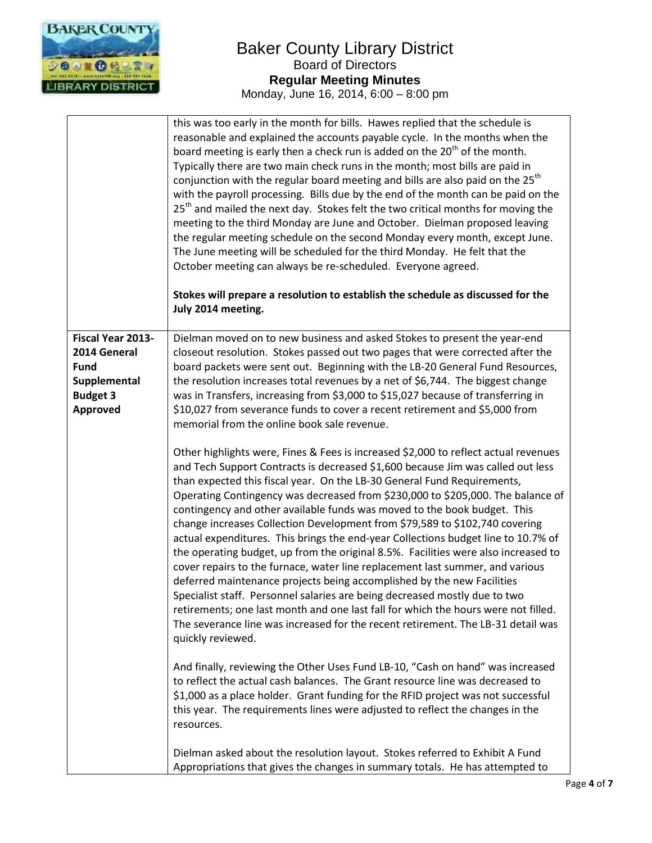

|                   | this was too early in the month for bills. Hawes replied that the schedule is<br>reasonable and explained the accounts payable cycle. In the months when the<br>board meeting is early then a check run is added on the 20 <sup>th</sup> of the month.<br>Typically there are two main check runs in the month; most bills are paid in<br>conjunction with the regular board meeting and bills are also paid on the 25 <sup>th</sup><br>with the payroll processing. Bills due by the end of the month can be paid on the<br>25 <sup>th</sup> and mailed the next day. Stokes felt the two critical months for moving the<br>meeting to the third Monday are June and October. Dielman proposed leaving<br>the regular meeting schedule on the second Monday every month, except June.<br>The June meeting will be scheduled for the third Monday. He felt that the<br>October meeting can always be re-scheduled. Everyone agreed.<br>Stokes will prepare a resolution to establish the schedule as discussed for the<br>July 2014 meeting.                                                                       |
|-------------------|--------------------------------------------------------------------------------------------------------------------------------------------------------------------------------------------------------------------------------------------------------------------------------------------------------------------------------------------------------------------------------------------------------------------------------------------------------------------------------------------------------------------------------------------------------------------------------------------------------------------------------------------------------------------------------------------------------------------------------------------------------------------------------------------------------------------------------------------------------------------------------------------------------------------------------------------------------------------------------------------------------------------------------------------------------------------------------------------------------------------|
| Fiscal Year 2013- | Dielman moved on to new business and asked Stokes to present the year-end                                                                                                                                                                                                                                                                                                                                                                                                                                                                                                                                                                                                                                                                                                                                                                                                                                                                                                                                                                                                                                          |
| 2014 General      | closeout resolution. Stokes passed out two pages that were corrected after the                                                                                                                                                                                                                                                                                                                                                                                                                                                                                                                                                                                                                                                                                                                                                                                                                                                                                                                                                                                                                                     |
| <b>Fund</b>       | board packets were sent out. Beginning with the LB-20 General Fund Resources,                                                                                                                                                                                                                                                                                                                                                                                                                                                                                                                                                                                                                                                                                                                                                                                                                                                                                                                                                                                                                                      |
| Supplemental      | the resolution increases total revenues by a net of \$6,744. The biggest change                                                                                                                                                                                                                                                                                                                                                                                                                                                                                                                                                                                                                                                                                                                                                                                                                                                                                                                                                                                                                                    |
| <b>Budget 3</b>   | was in Transfers, increasing from \$3,000 to \$15,027 because of transferring in                                                                                                                                                                                                                                                                                                                                                                                                                                                                                                                                                                                                                                                                                                                                                                                                                                                                                                                                                                                                                                   |
| <b>Approved</b>   | \$10,027 from severance funds to cover a recent retirement and \$5,000 from                                                                                                                                                                                                                                                                                                                                                                                                                                                                                                                                                                                                                                                                                                                                                                                                                                                                                                                                                                                                                                        |
|                   | memorial from the online book sale revenue.                                                                                                                                                                                                                                                                                                                                                                                                                                                                                                                                                                                                                                                                                                                                                                                                                                                                                                                                                                                                                                                                        |
|                   | Other highlights were, Fines & Fees is increased \$2,000 to reflect actual revenues<br>and Tech Support Contracts is decreased \$1,600 because Jim was called out less<br>than expected this fiscal year. On the LB-30 General Fund Requirements,<br>Operating Contingency was decreased from \$230,000 to \$205,000. The balance of<br>contingency and other available funds was moved to the book budget. This<br>change increases Collection Development from \$79,589 to \$102,740 covering<br>actual expenditures. This brings the end-year Collections budget line to 10.7% of<br>the operating budget, up from the original 8.5%. Facilities were also increased to<br>cover repairs to the furnace, water line replacement last summer, and various<br>deferred maintenance projects being accomplished by the new Facilities<br>Specialist staff. Personnel salaries are being decreased mostly due to two<br>retirements; one last month and one last fall for which the hours were not filled.<br>The severance line was increased for the recent retirement. The LB-31 detail was<br>quickly reviewed. |
|                   | And finally, reviewing the Other Uses Fund LB-10, "Cash on hand" was increased<br>to reflect the actual cash balances. The Grant resource line was decreased to<br>\$1,000 as a place holder. Grant funding for the RFID project was not successful<br>this year. The requirements lines were adjusted to reflect the changes in the<br>resources.                                                                                                                                                                                                                                                                                                                                                                                                                                                                                                                                                                                                                                                                                                                                                                 |
|                   | Dielman asked about the resolution layout. Stokes referred to Exhibit A Fund<br>Appropriations that gives the changes in summary totals. He has attempted to                                                                                                                                                                                                                                                                                                                                                                                                                                                                                                                                                                                                                                                                                                                                                                                                                                                                                                                                                       |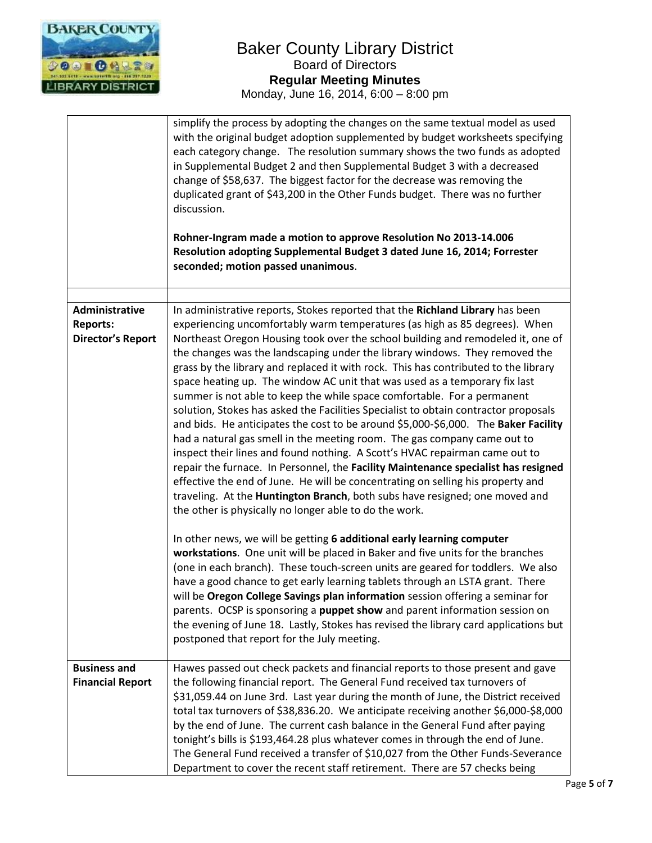

|                                                               | simplify the process by adopting the changes on the same textual model as used<br>with the original budget adoption supplemented by budget worksheets specifying<br>each category change. The resolution summary shows the two funds as adopted<br>in Supplemental Budget 2 and then Supplemental Budget 3 with a decreased<br>change of \$58,637. The biggest factor for the decrease was removing the<br>duplicated grant of \$43,200 in the Other Funds budget. There was no further<br>discussion.<br>Rohner-Ingram made a motion to approve Resolution No 2013-14.006<br>Resolution adopting Supplemental Budget 3 dated June 16, 2014; Forrester<br>seconded; motion passed unanimous.                                                                                                                                                                                                                                                                                                                                                                                                                                                                                                                                            |
|---------------------------------------------------------------|-----------------------------------------------------------------------------------------------------------------------------------------------------------------------------------------------------------------------------------------------------------------------------------------------------------------------------------------------------------------------------------------------------------------------------------------------------------------------------------------------------------------------------------------------------------------------------------------------------------------------------------------------------------------------------------------------------------------------------------------------------------------------------------------------------------------------------------------------------------------------------------------------------------------------------------------------------------------------------------------------------------------------------------------------------------------------------------------------------------------------------------------------------------------------------------------------------------------------------------------|
|                                                               |                                                                                                                                                                                                                                                                                                                                                                                                                                                                                                                                                                                                                                                                                                                                                                                                                                                                                                                                                                                                                                                                                                                                                                                                                                         |
| Administrative<br><b>Reports:</b><br><b>Director's Report</b> | In administrative reports, Stokes reported that the Richland Library has been<br>experiencing uncomfortably warm temperatures (as high as 85 degrees). When<br>Northeast Oregon Housing took over the school building and remodeled it, one of<br>the changes was the landscaping under the library windows. They removed the<br>grass by the library and replaced it with rock. This has contributed to the library<br>space heating up. The window AC unit that was used as a temporary fix last<br>summer is not able to keep the while space comfortable. For a permanent<br>solution, Stokes has asked the Facilities Specialist to obtain contractor proposals<br>and bids. He anticipates the cost to be around \$5,000-\$6,000. The Baker Facility<br>had a natural gas smell in the meeting room. The gas company came out to<br>inspect their lines and found nothing. A Scott's HVAC repairman came out to<br>repair the furnace. In Personnel, the Facility Maintenance specialist has resigned<br>effective the end of June. He will be concentrating on selling his property and<br>traveling. At the Huntington Branch, both subs have resigned; one moved and<br>the other is physically no longer able to do the work. |
|                                                               | In other news, we will be getting 6 additional early learning computer<br>workstations. One unit will be placed in Baker and five units for the branches<br>(one in each branch). These touch-screen units are geared for toddlers. We also<br>have a good chance to get early learning tablets through an LSTA grant. There<br>will be Oregon College Savings plan information session offering a seminar for<br>parents. OCSP is sponsoring a puppet show and parent information session on<br>the evening of June 18. Lastly, Stokes has revised the library card applications but<br>postponed that report for the July meeting.                                                                                                                                                                                                                                                                                                                                                                                                                                                                                                                                                                                                    |
| <b>Business and</b><br><b>Financial Report</b>                | Hawes passed out check packets and financial reports to those present and gave<br>the following financial report. The General Fund received tax turnovers of<br>\$31,059.44 on June 3rd. Last year during the month of June, the District received<br>total tax turnovers of \$38,836.20. We anticipate receiving another \$6,000-\$8,000<br>by the end of June. The current cash balance in the General Fund after paying<br>tonight's bills is \$193,464.28 plus whatever comes in through the end of June.<br>The General Fund received a transfer of \$10,027 from the Other Funds-Severance<br>Department to cover the recent staff retirement. There are 57 checks being                                                                                                                                                                                                                                                                                                                                                                                                                                                                                                                                                          |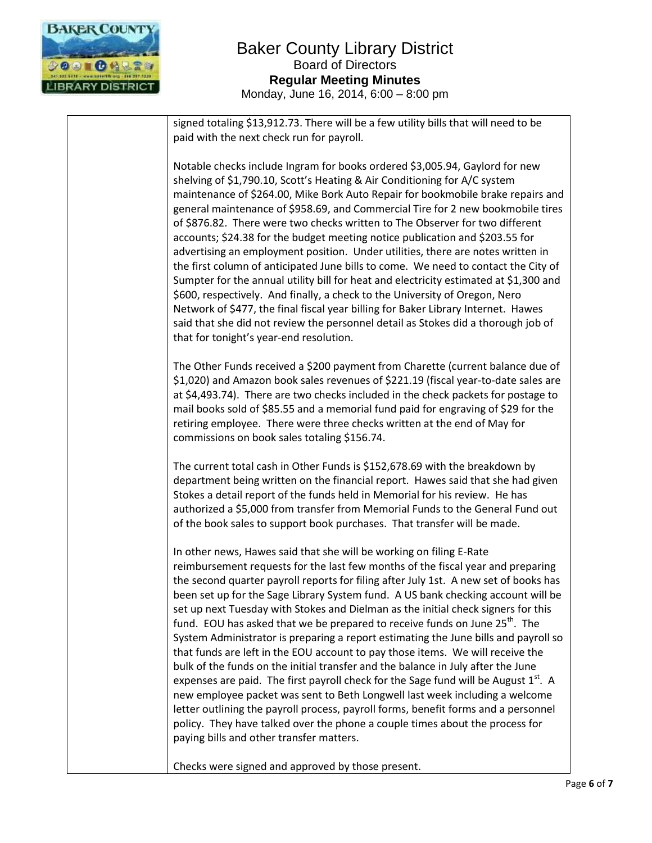

signed totaling \$13,912.73. There will be a few utility bills that will need to be paid with the next check run for payroll.

Notable checks include Ingram for books ordered \$3,005.94, Gaylord for new shelving of \$1,790.10, Scott's Heating & Air Conditioning for A/C system maintenance of \$264.00, Mike Bork Auto Repair for bookmobile brake repairs and general maintenance of \$958.69, and Commercial Tire for 2 new bookmobile tires of \$876.82. There were two checks written to The Observer for two different accounts; \$24.38 for the budget meeting notice publication and \$203.55 for advertising an employment position. Under utilities, there are notes written in the first column of anticipated June bills to come. We need to contact the City of Sumpter for the annual utility bill for heat and electricity estimated at \$1,300 and \$600, respectively. And finally, a check to the University of Oregon, Nero Network of \$477, the final fiscal year billing for Baker Library Internet. Hawes said that she did not review the personnel detail as Stokes did a thorough job of that for tonight's year-end resolution.

The Other Funds received a \$200 payment from Charette (current balance due of \$1,020) and Amazon book sales revenues of \$221.19 (fiscal year-to-date sales are at \$4,493.74). There are two checks included in the check packets for postage to mail books sold of \$85.55 and a memorial fund paid for engraving of \$29 for the retiring employee. There were three checks written at the end of May for commissions on book sales totaling \$156.74.

The current total cash in Other Funds is \$152,678.69 with the breakdown by department being written on the financial report. Hawes said that she had given Stokes a detail report of the funds held in Memorial for his review. He has authorized a \$5,000 from transfer from Memorial Funds to the General Fund out of the book sales to support book purchases. That transfer will be made.

In other news, Hawes said that she will be working on filing E-Rate reimbursement requests for the last few months of the fiscal year and preparing the second quarter payroll reports for filing after July 1st. A new set of books has been set up for the Sage Library System fund. A US bank checking account will be set up next Tuesday with Stokes and Dielman as the initial check signers for this fund. EOU has asked that we be prepared to receive funds on June  $25<sup>th</sup>$ . The System Administrator is preparing a report estimating the June bills and payroll so that funds are left in the EOU account to pay those items. We will receive the bulk of the funds on the initial transfer and the balance in July after the June expenses are paid. The first payroll check for the Sage fund will be August  $1<sup>st</sup>$ . A new employee packet was sent to Beth Longwell last week including a welcome letter outlining the payroll process, payroll forms, benefit forms and a personnel policy. They have talked over the phone a couple times about the process for paying bills and other transfer matters.

Checks were signed and approved by those present.